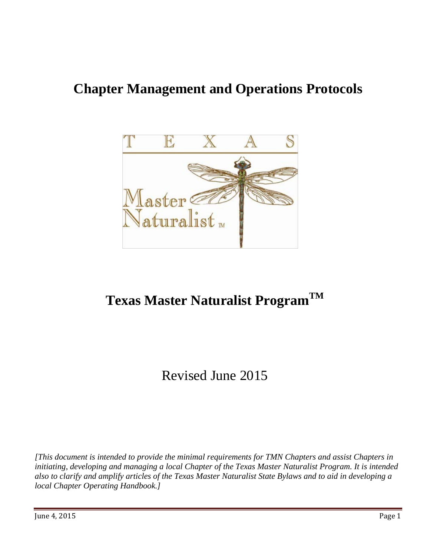

# **Texas Master Naturalist ProgramTM**

# Revised June 2015

*[This document is intended to provide the minimal requirements for TMN Chapters and assist Chapters in initiating, developing and managing a local Chapter of the Texas Master Naturalist Program. It is intended also to clarify and amplify articles of the Texas Master Naturalist State Bylaws and to aid in developing a local Chapter Operating Handbook.]*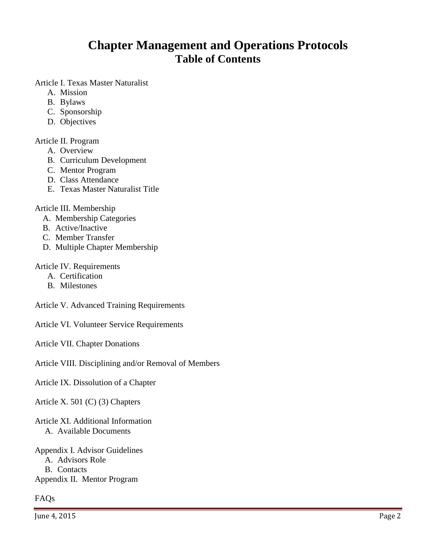## **Chapter Management and Operations Protocols Table of Contents**

Article I. Texas Master Naturalist

- A. Mission
- B. Bylaws
- C. Sponsorship
- D. Objectives

#### Article II. Program

- A. Overview
- B. Curriculum Development
- C. Mentor Program
- D. Class Attendance
- E. Texas Master Naturalist Title

#### Article III. Membership

- A. Membership Categories
- B. Active/Inactive
- C. Member Transfer
- D. Multiple Chapter Membership

#### Article IV. Requirements

- A. Certification
- B. Milestones

Article V. Advanced Training Requirements

Article VI. Volunteer Service Requirements

Article VII. Chapter Donations

Article VIII. Disciplining and/or Removal of Members

Article IX. Dissolution of a Chapter

Article X. 501 (C) (3) Chapters

Article XI. Additional Information A. Available Documents

Appendix I. Advisor Guidelines A. Advisors Role B. Contacts Appendix II. Mentor Program

#### FAQs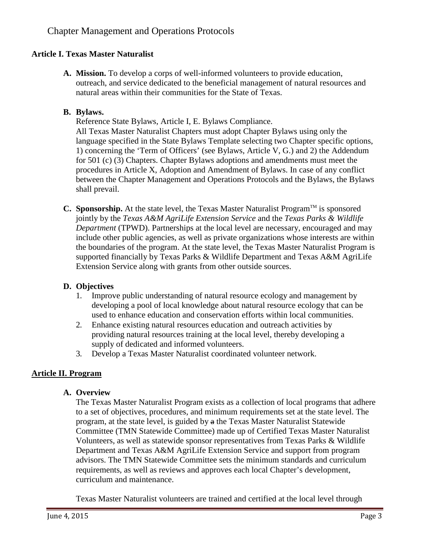#### **Article I. Texas Master Naturalist**

**A. Mission.** To develop a corps of well-informed volunteers to provide education, outreach, and service dedicated to the beneficial management of natural resources and natural areas within their communities for the State of Texas.

#### **B. Bylaws.**

Reference State Bylaws, Article I, E. Bylaws Compliance.

All Texas Master Naturalist Chapters must adopt Chapter Bylaws using only the language specified in the State Bylaws Template selecting two Chapter specific options, 1) concerning the 'Term of Officers' (see Bylaws, Article V, G.) and 2) the Addendum for 501 (c) (3) Chapters. Chapter Bylaws adoptions and amendments must meet the procedures in Article X, Adoption and Amendment of Bylaws. In case of any conflict between the Chapter Management and Operations Protocols and the Bylaws, the Bylaws shall prevail.

**C. Sponsorship.** At the state level, the Texas Master Naturalist Program<sup>TM</sup> is sponsored jointly by the *Texas A&M AgriLife Extension Service* and the *Texas Parks & Wildlife Department* (TPWD). Partnerships at the local level are necessary, encouraged and may include other public agencies, as well as private organizations whose interests are within the boundaries of the program. At the state level, the Texas Master Naturalist Program is supported financially by Texas Parks & Wildlife Department and Texas A&M AgriLife Extension Service along with grants from other outside sources.

#### **D. Objectives**

- 1. Improve public understanding of natural resource ecology and management by developing a pool of local knowledge about natural resource ecology that can be used to enhance education and conservation efforts within local communities.
- 2. Enhance existing natural resources education and outreach activities by providing natural resources training at the local level, thereby developing a supply of dedicated and informed volunteers.
- 3. Develop a Texas Master Naturalist coordinated volunteer network.

## **Article II. Program**

#### **A. Overview**

The Texas Master Naturalist Program exists as a collection of local programs that adhere to a set of objectives, procedures, and minimum requirements set at the state level. The program, at the state level, is guided by a the Texas Master Naturalist Statewide Committee (TMN Statewide Committee) made up of Certified Texas Master Naturalist Volunteers, as well as statewide sponsor representatives from Texas Parks & Wildlife Department and Texas A&M AgriLife Extension Service and support from program advisors. The TMN Statewide Committee sets the minimum standards and curriculum requirements, as well as reviews and approves each local Chapter's development, curriculum and maintenance.

Texas Master Naturalist volunteers are trained and certified at the local level through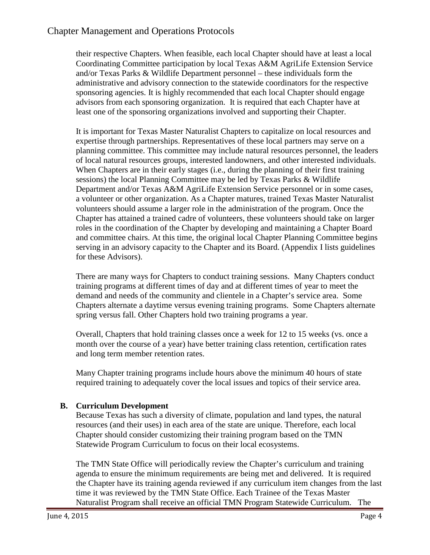their respective Chapters. When feasible, each local Chapter should have at least a local Coordinating Committee participation by local Texas A&M AgriLife Extension Service and/or Texas Parks & Wildlife Department personnel – these individuals form the administrative and advisory connection to the statewide coordinators for the respective sponsoring agencies. It is highly recommended that each local Chapter should engage advisors from each sponsoring organization. It is required that each Chapter have at least one of the sponsoring organizations involved and supporting their Chapter.

It is important for Texas Master Naturalist Chapters to capitalize on local resources and expertise through partnerships. Representatives of these local partners may serve on a planning committee. This committee may include natural resources personnel, the leaders of local natural resources groups, interested landowners, and other interested individuals. When Chapters are in their early stages (i.e., during the planning of their first training sessions) the local Planning Committee may be led by Texas Parks & Wildlife Department and/or Texas A&M AgriLife Extension Service personnel or in some cases, a volunteer or other organization. As a Chapter matures, trained Texas Master Naturalist volunteers should assume a larger role in the administration of the program. Once the Chapter has attained a trained cadre of volunteers, these volunteers should take on larger roles in the coordination of the Chapter by developing and maintaining a Chapter Board and committee chairs. At this time, the original local Chapter Planning Committee begins serving in an advisory capacity to the Chapter and its Board. (Appendix I lists guidelines for these Advisors).

There are many ways for Chapters to conduct training sessions. Many Chapters conduct training programs at different times of day and at different times of year to meet the demand and needs of the community and clientele in a Chapter's service area. Some Chapters alternate a daytime versus evening training programs. Some Chapters alternate spring versus fall. Other Chapters hold two training programs a year.

Overall, Chapters that hold training classes once a week for 12 to 15 weeks (vs. once a month over the course of a year) have better training class retention, certification rates and long term member retention rates.

Many Chapter training programs include hours above the minimum 40 hours of state required training to adequately cover the local issues and topics of their service area.

#### **B. Curriculum Development**

Because Texas has such a diversity of climate, population and land types, the natural resources (and their uses) in each area of the state are unique. Therefore, each local Chapter should consider customizing their training program based on the TMN Statewide Program Curriculum to focus on their local ecosystems.

The TMN State Office will periodically review the Chapter's curriculum and training agenda to ensure the minimum requirements are being met and delivered. It is required the Chapter have its training agenda reviewed if any curriculum item changes from the last time it was reviewed by the TMN State Office. Each Trainee of the Texas Master Naturalist Program shall receive an official TMN Program Statewide Curriculum. The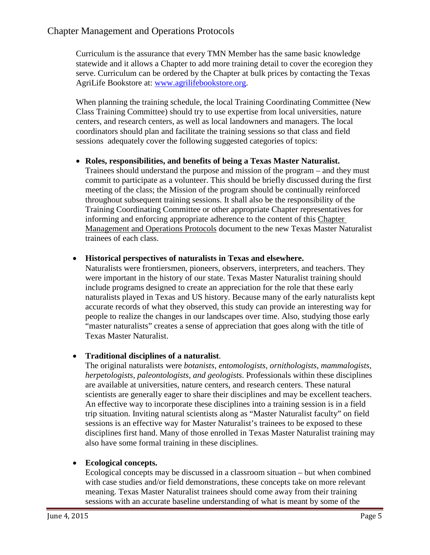Curriculum is the assurance that every TMN Member has the same basic knowledge statewide and it allows a Chapter to add more training detail to cover the ecoregion they serve. Curriculum can be ordered by the Chapter at bulk prices by contacting the Texas AgriLife Bookstore at: [www.agrilifebookstore.org.](http://www.agrilifebookstore.org/)

When planning the training schedule, the local Training Coordinating Committee (New Class Training Committee) should try to use expertise from local universities, nature centers, and research centers, as well as local landowners and managers. The local coordinators should plan and facilitate the training sessions so that class and field sessions adequately cover the following suggested categories of topics:

• **Roles, responsibilities, and benefits of being a Texas Master Naturalist.** Trainees should understand the purpose and mission of the program – and they must commit to participate as a volunteer. This should be briefly discussed during the first meeting of the class; the Mission of the program should be continually reinforced throughout subsequent training sessions. It shall also be the responsibility of the Training Coordinating Committee or other appropriate Chapter representatives for informing and enforcing appropriate adherence to the content of this Chapter Management and Operations Protocols document to the new Texas Master Naturalist trainees of each class.

## • **Historical perspectives of naturalists in Texas and elsewhere.**

Naturalists were frontiersmen, pioneers, observers, interpreters, and teachers. They were important in the history of our state. Texas Master Naturalist training should include programs designed to create an appreciation for the role that these early naturalists played in Texas and US history. Because many of the early naturalists kept accurate records of what they observed, this study can provide an interesting way for people to realize the changes in our landscapes over time. Also, studying those early "master naturalists" creates a sense of appreciation that goes along with the title of Texas Master Naturalist.

## • **Traditional disciplines of a naturalist**.

The original naturalists were *botanists, entomologists, ornithologists, mammalogists, herpetologists, paleontologists, and geologists*. Professionals within these disciplines are available at universities, nature centers, and research centers. These natural scientists are generally eager to share their disciplines and may be excellent teachers. An effective way to incorporate these disciplines into a training session is in a field trip situation. Inviting natural scientists along as "Master Naturalist faculty" on field sessions is an effective way for Master Naturalist's trainees to be exposed to these disciplines first hand. Many of those enrolled in Texas Master Naturalist training may also have some formal training in these disciplines.

## • **Ecological concepts.**

Ecological concepts may be discussed in a classroom situation – but when combined with case studies and/or field demonstrations, these concepts take on more relevant meaning. Texas Master Naturalist trainees should come away from their training sessions with an accurate baseline understanding of what is meant by some of the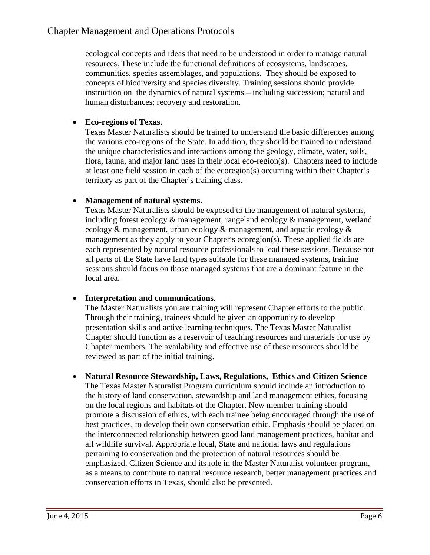ecological concepts and ideas that need to be understood in order to manage natural resources. These include the functional definitions of ecosystems, landscapes, communities, species assemblages, and populations. They should be exposed to concepts of biodiversity and species diversity. Training sessions should provide instruction on the dynamics of natural systems – including succession; natural and human disturbances; recovery and restoration.

#### • **Eco-regions of Texas.**

Texas Master Naturalists should be trained to understand the basic differences among the various eco-regions of the State. In addition, they should be trained to understand the unique characteristics and interactions among the geology, climate, water, soils, flora, fauna, and major land uses in their local eco-region(s). Chapters need to include at least one field session in each of the ecoregion(s) occurring within their Chapter's territory as part of the Chapter's training class.

#### • **Management of natural systems.**

Texas Master Naturalists should be exposed to the management of natural systems, including forest ecology & management, rangeland ecology & management, wetland ecology & management, urban ecology & management, and aquatic ecology & management as they apply to your Chapter's ecoregion(s). These applied fields are each represented by natural resource professionals to lead these sessions. Because not all parts of the State have land types suitable for these managed systems, training sessions should focus on those managed systems that are a dominant feature in the local area.

#### • **Interpretation and communications**.

The Master Naturalists you are training will represent Chapter efforts to the public. Through their training, trainees should be given an opportunity to develop presentation skills and active learning techniques. The Texas Master Naturalist Chapter should function as a reservoir of teaching resources and materials for use by Chapter members. The availability and effective use of these resources should be reviewed as part of the initial training.

• **Natural Resource Stewardship, Laws, Regulations, Ethics and Citizen Science** The Texas Master Naturalist Program curriculum should include an introduction to the history of land conservation, stewardship and land management ethics, focusing on the local regions and habitats of the Chapter. New member training should promote a discussion of ethics, with each trainee being encouraged through the use of best practices, to develop their own conservation ethic. Emphasis should be placed on the interconnected relationship between good land management practices, habitat and all wildlife survival. Appropriate local, State and national laws and regulations pertaining to conservation and the protection of natural resources should be emphasized. Citizen Science and its role in the Master Naturalist volunteer program, as a means to contribute to natural resource research, better management practices and conservation efforts in Texas, should also be presented.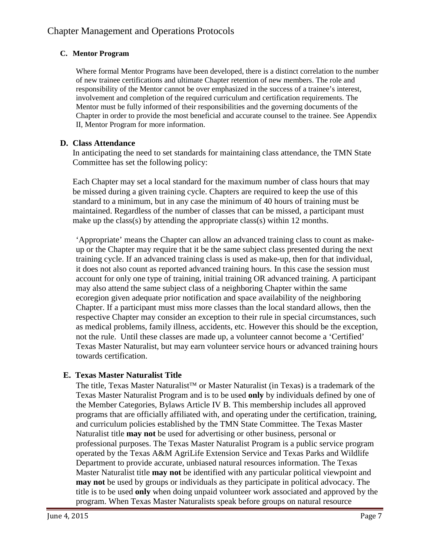### **C. Mentor Program**

Where formal Mentor Programs have been developed, there is a distinct correlation to the number of new trainee certifications and ultimate Chapter retention of new members. The role and responsibility of the Mentor cannot be over emphasized in the success of a trainee's interest, involvement and completion of the required curriculum and certification requirements. The Mentor must be fully informed of their responsibilities and the governing documents of the Chapter in order to provide the most beneficial and accurate counsel to the trainee. See Appendix II, Mentor Program for more information.

## **D. Class Attendance**

In anticipating the need to set standards for maintaining class attendance, the TMN State Committee has set the following policy:

Each Chapter may set a local standard for the maximum number of class hours that may be missed during a given training cycle. Chapters are required to keep the use of this standard to a minimum, but in any case the minimum of 40 hours of training must be maintained. Regardless of the number of classes that can be missed, a participant must make up the class(s) by attending the appropriate class(s) within 12 months.

'Appropriate' means the Chapter can allow an advanced training class to count as makeup or the Chapter may require that it be the same subject class presented during the next training cycle. If an advanced training class is used as make-up, then for that individual, it does not also count as reported advanced training hours. In this case the session must account for only one type of training, initial training OR advanced training. A participant may also attend the same subject class of a neighboring Chapter within the same ecoregion given adequate prior notification and space availability of the neighboring Chapter. If a participant must miss more classes than the local standard allows, then the respective Chapter may consider an exception to their rule in special circumstances, such as medical problems, family illness, accidents, etc. However this should be the exception, not the rule. Until these classes are made up, a volunteer cannot become a 'Certified' Texas Master Naturalist, but may earn volunteer service hours or advanced training hours towards certification.

## **E. Texas Master Naturalist Title**

The title, Texas Master Naturalist<sup>TM</sup> or Master Naturalist (in Texas) is a trademark of the Texas Master Naturalist Program and is to be used **only** by individuals defined by one of the Member Categories, Bylaws Article IV B. This membership includes all approved programs that are officially affiliated with, and operating under the certification, training, and curriculum policies established by the TMN State Committee. The Texas Master Naturalist title **may not** be used for advertising or other business, personal or professional purposes. The Texas Master Naturalist Program is a public service program operated by the Texas A&M AgriLife Extension Service and Texas Parks and Wildlife Department to provide accurate, unbiased natural resources information. The Texas Master Naturalist title **may not** be identified with any particular political viewpoint and **may not** be used by groups or individuals as they participate in political advocacy. The title is to be used **only** when doing unpaid volunteer work associated and approved by the program. When Texas Master Naturalists speak before groups on natural resource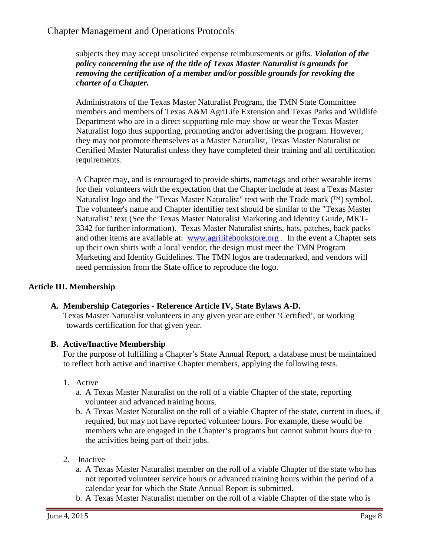subjects they may accept unsolicited expense reimbursements or gifts. *Violation of the policy concerning the use of the title of Texas Master Naturalist is grounds for removing the certification of a member and/or possible grounds for revoking the charter of a Chapter.*

Administrators of the Texas Master Naturalist Program, the TMN State Committee members and members of Texas A&M AgriLife Extension and Texas Parks and Wildlife Department who are in a direct supporting role may show or wear the Texas Master Naturalist logo thus supporting, promoting and/or advertising the program. However, they may not promote themselves as a Master Naturalist, Texas Master Naturalist or Certified Master Naturalist unless they have completed their training and all certification requirements.

A Chapter may, and is encouraged to provide shirts, nametags and other wearable items for their volunteers with the expectation that the Chapter include at least a Texas Master Naturalist logo and the "Texas Master Naturalist" text with the Trade mark  $(\mathbb{M})$  symbol. The volunteer's name and Chapter identifier text should be similar to the "Texas Master Naturalist" text (See the Texas Master Naturalist Marketing and Identity Guide, MKT-3342 for further information). Texas Master Naturalist shirts, hats, patches, back packs and other items are available at: [www.agrilifebookstore.org](http://www.agrilifebookstore.org/) . In the event a Chapter sets up their own shirts with a local vendor, the design must meet the TMN Program Marketing and Identity Guidelines. The TMN logos are trademarked, and vendors will need permission from the State office to reproduce the logo.

## **Article III. Membership**

#### **A. Membership Categories - Reference Article IV, State Bylaws A-D.**

Texas Master Naturalist volunteers in any given year are either 'Certified', or working towards certification for that given year.

#### **B. Active/Inactive Membership**

For the purpose of fulfilling a Chapter's State Annual Report, a database must be maintained to reflect both active and inactive Chapter members, applying the following tests.

- 1. Active
	- a. A Texas Master Naturalist on the roll of a viable Chapter of the state, reporting volunteer and advanced training hours.
	- b. A Texas Master Naturalist on the roll of a viable Chapter of the state, current in dues, if required, but may not have reported volunteer hours. For example, these would be members who are engaged in the Chapter's programs but cannot submit hours due to the activities being part of their jobs.
- 2. Inactive
	- a. A Texas Master Naturalist member on the roll of a viable Chapter of the state who has not reported volunteer service hours or advanced training hours within the period of a calendar year for which the State Annual Report is submitted.
	- b. A Texas Master Naturalist member on the roll of a viable Chapter of the state who is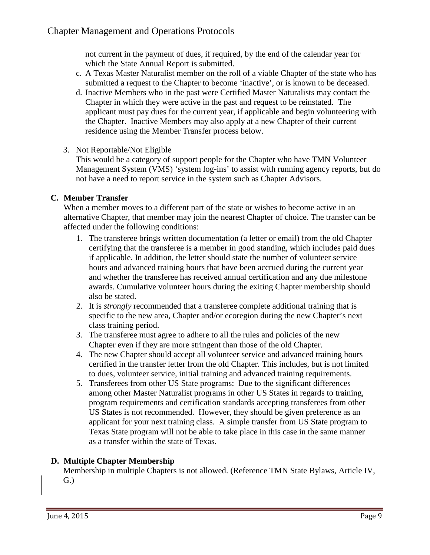not current in the payment of dues, if required, by the end of the calendar year for which the State Annual Report is submitted.

- c. A Texas Master Naturalist member on the roll of a viable Chapter of the state who has submitted a request to the Chapter to become 'inactive', or is known to be deceased.
- d. Inactive Members who in the past were Certified Master Naturalists may contact the Chapter in which they were active in the past and request to be reinstated. The applicant must pay dues for the current year, if applicable and begin volunteering with the Chapter. Inactive Members may also apply at a new Chapter of their current residence using the Member Transfer process below.
- 3. Not Reportable/Not Eligible

This would be a category of support people for the Chapter who have TMN Volunteer Management System (VMS) 'system log-ins' to assist with running agency reports, but do not have a need to report service in the system such as Chapter Advisors.

#### **C. Member Transfer**

When a member moves to a different part of the state or wishes to become active in an alternative Chapter, that member may join the nearest Chapter of choice. The transfer can be affected under the following conditions:

- 1. The transferee brings written documentation (a letter or email) from the old Chapter certifying that the transferee is a member in good standing, which includes paid dues if applicable. In addition, the letter should state the number of volunteer service hours and advanced training hours that have been accrued during the current year and whether the transferee has received annual certification and any due milestone awards. Cumulative volunteer hours during the exiting Chapter membership should also be stated.
- 2. It is *strongly* recommended that a transferee complete additional training that is specific to the new area, Chapter and/or ecoregion during the new Chapter's next class training period.
- 3. The transferee must agree to adhere to all the rules and policies of the new Chapter even if they are more stringent than those of the old Chapter.
- 4. The new Chapter should accept all volunteer service and advanced training hours certified in the transfer letter from the old Chapter. This includes, but is not limited to dues, volunteer service, initial training and advanced training requirements.
- 5. Transferees from other US State programs: Due to the significant differences among other Master Naturalist programs in other US States in regards to training, program requirements and certification standards accepting transferees from other US States is not recommended. However, they should be given preference as an applicant for your next training class. A simple transfer from US State program to Texas State program will not be able to take place in this case in the same manner as a transfer within the state of Texas.

#### **D. Multiple Chapter Membership**

Membership in multiple Chapters is not allowed. (Reference TMN State Bylaws, Article IV, G.)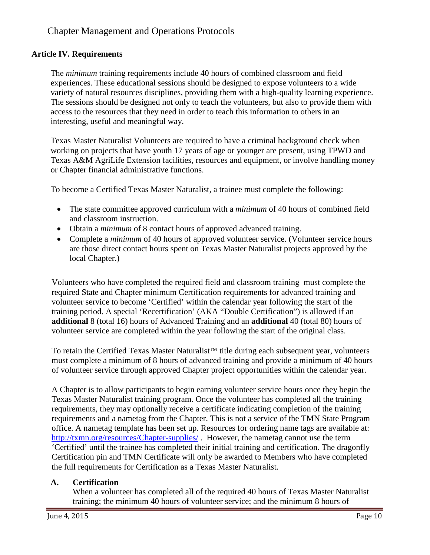#### **Article IV. Requirements**

The *minimum* training requirements include 40 hours of combined classroom and field experiences. These educational sessions should be designed to expose volunteers to a wide variety of natural resources disciplines, providing them with a high-quality learning experience. The sessions should be designed not only to teach the volunteers, but also to provide them with access to the resources that they need in order to teach this information to others in an interesting, useful and meaningful way.

Texas Master Naturalist Volunteers are required to have a criminal background check when working on projects that have youth 17 years of age or younger are present, using TPWD and Texas A&M AgriLife Extension facilities, resources and equipment, or involve handling money or Chapter financial administrative functions.

To become a Certified Texas Master Naturalist, a trainee must complete the following:

- The state committee approved curriculum with a *minimum* of 40 hours of combined field and classroom instruction.
- Obtain a *minimum* of 8 contact hours of approved advanced training.
- Complete a *minimum* of 40 hours of approved volunteer service. (Volunteer service hours are those direct contact hours spent on Texas Master Naturalist projects approved by the local Chapter.)

Volunteers who have completed the required field and classroom training must complete the required State and Chapter minimum Certification requirements for advanced training and volunteer service to become 'Certified' within the calendar year following the start of the training period. A special 'Recertification' (AKA "Double Certification") is allowed if an **additional** 8 (total 16) hours of Advanced Training and an **additional** 40 (total 80) hours of volunteer service are completed within the year following the start of the original class.

To retain the Certified Texas Master Naturalist<sup>TM</sup> title during each subsequent year, volunteers must complete a minimum of 8 hours of advanced training and provide a minimum of 40 hours of volunteer service through approved Chapter project opportunities within the calendar year.

A Chapter is to allow participants to begin earning volunteer service hours once they begin the Texas Master Naturalist training program. Once the volunteer has completed all the training requirements, they may optionally receive a certificate indicating completion of the training requirements and a nametag from the Chapter. This is not a service of the TMN State Program office. A nametag template has been set up. Resources for ordering name tags are available at: <http://txmn.org/resources/Chapter-supplies/> . However, the nametag cannot use the term 'Certified' until the trainee has completed their initial training and certification. The dragonfly Certification pin and TMN Certificate will only be awarded to Members who have completed the full requirements for Certification as a Texas Master Naturalist.

#### **A. Certification**

When a volunteer has completed all of the required 40 hours of Texas Master Naturalist training; the minimum 40 hours of volunteer service; and the minimum 8 hours of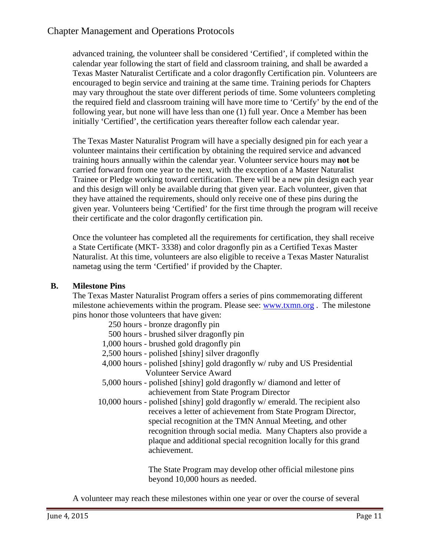advanced training, the volunteer shall be considered 'Certified', if completed within the calendar year following the start of field and classroom training, and shall be awarded a Texas Master Naturalist Certificate and a color dragonfly Certification pin. Volunteers are encouraged to begin service and training at the same time. Training periods for Chapters may vary throughout the state over different periods of time. Some volunteers completing the required field and classroom training will have more time to 'Certify' by the end of the following year, but none will have less than one (1) full year. Once a Member has been initially 'Certified', the certification years thereafter follow each calendar year.

The Texas Master Naturalist Program will have a specially designed pin for each year a volunteer maintains their certification by obtaining the required service and advanced training hours annually within the calendar year. Volunteer service hours may **not** be carried forward from one year to the next, with the exception of a Master Naturalist Trainee or Pledge working toward certification. There will be a new pin design each year and this design will only be available during that given year. Each volunteer, given that they have attained the requirements, should only receive one of these pins during the given year. Volunteers being 'Certified' for the first time through the program will receive their certificate and the color dragonfly certification pin.

Once the volunteer has completed all the requirements for certification, they shall receive a State Certificate (MKT- 3338) and color dragonfly pin as a Certified Texas Master Naturalist. At this time, volunteers are also eligible to receive a Texas Master Naturalist nametag using the term 'Certified' if provided by the Chapter.

#### **B. Milestone Pins**

The Texas Master Naturalist Program offers a series of pins commemorating different milestone achievements within the program. Please see: [www.txmn.org](http://www.txmn.org/). The milestone pins honor those volunteers that have given:

| 250 hours - bronze dragonfly pin                                              |
|-------------------------------------------------------------------------------|
| 500 hours - brushed silver dragonfly pin                                      |
| 1,000 hours - brushed gold dragonfly pin                                      |
| 2,500 hours - polished [shiny] silver dragonfly                               |
| 4,000 hours - polished [shiny] gold dragonfly w/ ruby and US Presidential     |
| <b>Volunteer Service Award</b>                                                |
| 5,000 hours - polished [shiny] gold dragonfly w/ diamond and letter of        |
| achievement from State Program Director                                       |
| 10,000 hours - polished [shiny] gold dragonfly w/ emerald. The recipient also |
| receives a letter of achievement from State Program Director,                 |
| special recognition at the TMN Annual Meeting, and other                      |
| recognition through social media. Many Chapters also provide a                |
| plaque and additional special recognition locally for this grand              |
| achievement.                                                                  |
|                                                                               |

The State Program may develop other official milestone pins beyond 10,000 hours as needed.

A volunteer may reach these milestones within one year or over the course of several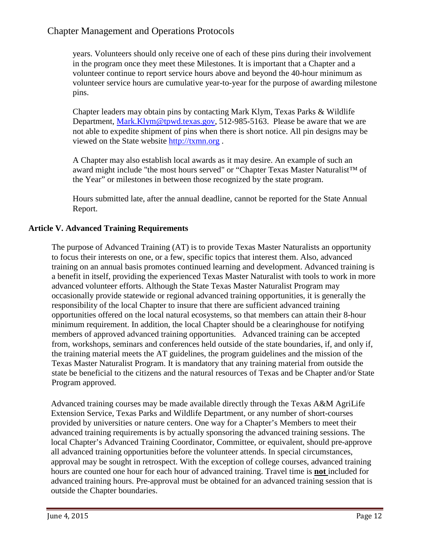years. Volunteers should only receive one of each of these pins during their involvement in the program once they meet these Milestones. It is important that a Chapter and a volunteer continue to report service hours above and beyond the 40-hour minimum as volunteer service hours are cumulative year-to-year for the purpose of awarding milestone pins.

Chapter leaders may obtain pins by contacting Mark Klym, Texas Parks & Wildlife Department, [Mark.Klym@tpwd.texas.gov,](mailto:Mark.Klym@tpwd.texas.gov) 512-985-5163. Please be aware that we are not able to expedite shipment of pins when there is short notice. All pin designs may be viewed on the State website [http://txmn.org](http://txmn.org/) .

A Chapter may also establish local awards as it may desire. An example of such an award might include "the most hours served" or "Chapter Texas Master Naturalist™ of the Year" or milestones in between those recognized by the state program.

Hours submitted late, after the annual deadline, cannot be reported for the State Annual Report.

#### **Article V. Advanced Training Requirements**

The purpose of Advanced Training (AT) is to provide Texas Master Naturalists an opportunity to focus their interests on one, or a few, specific topics that interest them. Also, advanced training on an annual basis promotes continued learning and development. Advanced training is a benefit in itself, providing the experienced Texas Master Naturalist with tools to work in more advanced volunteer efforts. Although the State Texas Master Naturalist Program may occasionally provide statewide or regional advanced training opportunities, it is generally the responsibility of the local Chapter to insure that there are sufficient advanced training opportunities offered on the local natural ecosystems, so that members can attain their 8-hour minimum requirement. In addition, the local Chapter should be a clearinghouse for notifying members of approved advanced training opportunities. Advanced training can be accepted from, workshops, seminars and conferences held outside of the state boundaries, if, and only if, the training material meets the AT guidelines, the program guidelines and the mission of the Texas Master Naturalist Program. It is mandatory that any training material from outside the state be beneficial to the citizens and the natural resources of Texas and be Chapter and/or State Program approved.

Advanced training courses may be made available directly through the Texas A&M AgriLife Extension Service, Texas Parks and Wildlife Department, or any number of short-courses provided by universities or nature centers. One way for a Chapter's Members to meet their advanced training requirements is by actually sponsoring the advanced training sessions. The local Chapter's Advanced Training Coordinator, Committee, or equivalent, should pre-approve all advanced training opportunities before the volunteer attends. In special circumstances, approval may be sought in retrospect. With the exception of college courses, advanced training hours are counted one hour for each hour of advanced training. Travel time is **not** included for advanced training hours. Pre-approval must be obtained for an advanced training session that is outside the Chapter boundaries.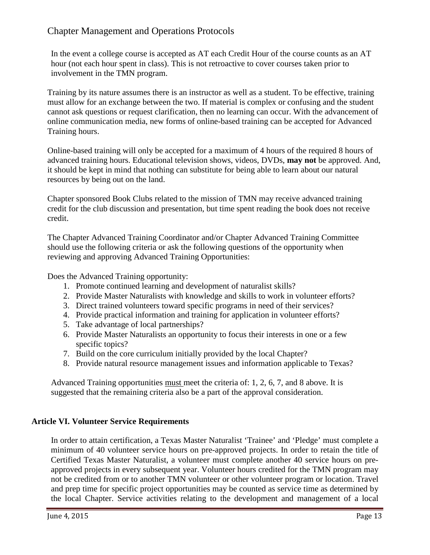In the event a college course is accepted as AT each Credit Hour of the course counts as an AT hour (not each hour spent in class). This is not retroactive to cover courses taken prior to involvement in the TMN program.

Training by its nature assumes there is an instructor as well as a student. To be effective, training must allow for an exchange between the two. If material is complex or confusing and the student cannot ask questions or request clarification, then no learning can occur. With the advancement of online communication media, new forms of online-based training can be accepted for Advanced Training hours.

Online-based training will only be accepted for a maximum of 4 hours of the required 8 hours of advanced training hours. Educational television shows, videos, DVDs, **may not** be approved. And, it should be kept in mind that nothing can substitute for being able to learn about our natural resources by being out on the land.

Chapter sponsored Book Clubs related to the mission of TMN may receive advanced training credit for the club discussion and presentation, but time spent reading the book does not receive credit.

The Chapter Advanced Training Coordinator and/or Chapter Advanced Training Committee should use the following criteria or ask the following questions of the opportunity when reviewing and approving Advanced Training Opportunities:

Does the Advanced Training opportunity:

- 1. Promote continued learning and development of naturalist skills?
- 2. Provide Master Naturalists with knowledge and skills to work in volunteer efforts?
- 3. Direct trained volunteers toward specific programs in need of their services?
- 4. Provide practical information and training for application in volunteer efforts?
- 5. Take advantage of local partnerships?
- 6. Provide Master Naturalists an opportunity to focus their interests in one or a few specific topics?
- 7. Build on the core curriculum initially provided by the local Chapter?
- 8. Provide natural resource management issues and information applicable to Texas?

Advanced Training opportunities must meet the criteria of: 1, 2, 6, 7, and 8 above. It is suggested that the remaining criteria also be a part of the approval consideration.

#### **Article VI. Volunteer Service Requirements**

In order to attain certification, a Texas Master Naturalist 'Trainee' and 'Pledge' must complete a minimum of 40 volunteer service hours on pre-approved projects. In order to retain the title of Certified Texas Master Naturalist, a volunteer must complete another 40 service hours on preapproved projects in every subsequent year. Volunteer hours credited for the TMN program may not be credited from or to another TMN volunteer or other volunteer program or location. Travel and prep time for specific project opportunities may be counted as service time as determined by the local Chapter. Service activities relating to the development and management of a local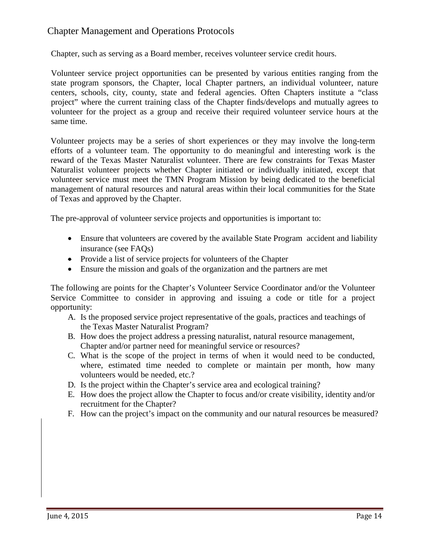Chapter, such as serving as a Board member, receives volunteer service credit hours.

Volunteer service project opportunities can be presented by various entities ranging from the state program sponsors, the Chapter, local Chapter partners, an individual volunteer, nature centers, schools, city, county, state and federal agencies. Often Chapters institute a "class project" where the current training class of the Chapter finds/develops and mutually agrees to volunteer for the project as a group and receive their required volunteer service hours at the same time.

Volunteer projects may be a series of short experiences or they may involve the long-term efforts of a volunteer team. The opportunity to do meaningful and interesting work is the reward of the Texas Master Naturalist volunteer. There are few constraints for Texas Master Naturalist volunteer projects whether Chapter initiated or individually initiated, except that volunteer service must meet the TMN Program Mission by being dedicated to the beneficial management of natural resources and natural areas within their local communities for the State of Texas and approved by the Chapter.

The pre-approval of volunteer service projects and opportunities is important to:

- Ensure that volunteers are covered by the available State Program accident and liability insurance (see FAQs)
- Provide a list of service projects for volunteers of the Chapter
- Ensure the mission and goals of the organization and the partners are met

The following are points for the Chapter's Volunteer Service Coordinator and/or the Volunteer Service Committee to consider in approving and issuing a code or title for a project opportunity:

- A. Is the proposed service project representative of the goals, practices and teachings of the Texas Master Naturalist Program?
- B. How does the project address a pressing naturalist, natural resource management, Chapter and/or partner need for meaningful service or resources?
- C. What is the scope of the project in terms of when it would need to be conducted, where, estimated time needed to complete or maintain per month, how many volunteers would be needed, etc.?
- D. Is the project within the Chapter's service area and ecological training?
- E. How does the project allow the Chapter to focus and/or create visibility, identity and/or recruitment for the Chapter?
- F. How can the project's impact on the community and our natural resources be measured?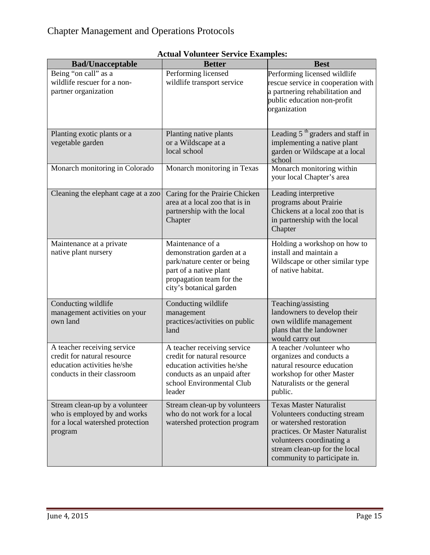| <b>Bad/Unacceptable</b>                                                                                                  | <b>Better</b>                                                                                                                                                   | <b>Best</b>                                                                                                                                                                                                                 |
|--------------------------------------------------------------------------------------------------------------------------|-----------------------------------------------------------------------------------------------------------------------------------------------------------------|-----------------------------------------------------------------------------------------------------------------------------------------------------------------------------------------------------------------------------|
| Being "on call" as a<br>wildlife rescuer for a non-<br>partner organization                                              | Performing licensed<br>wildlife transport service                                                                                                               | Performing licensed wildlife<br>rescue service in cooperation with<br>a partnering rehabilitation and<br>public education non-profit<br>organization                                                                        |
| Planting exotic plants or a<br>vegetable garden                                                                          | Planting native plants<br>or a Wildscape at a<br>local school                                                                                                   | Leading 5 <sup>th</sup> graders and staff in<br>implementing a native plant<br>garden or Wildscape at a local<br>school                                                                                                     |
| Monarch monitoring in Colorado                                                                                           | Monarch monitoring in Texas                                                                                                                                     | Monarch monitoring within<br>your local Chapter's area                                                                                                                                                                      |
| Cleaning the elephant cage at a zoo                                                                                      | Caring for the Prairie Chicken<br>area at a local zoo that is in<br>partnership with the local<br>Chapter                                                       | Leading interpretive<br>programs about Prairie<br>Chickens at a local zoo that is<br>in partnership with the local<br>Chapter                                                                                               |
| Maintenance at a private<br>native plant nursery                                                                         | Maintenance of a<br>demonstration garden at a<br>park/nature center or being<br>part of a native plant<br>propagation team for the<br>city's botanical garden   | Holding a workshop on how to<br>install and maintain a<br>Wildscape or other similar type<br>of native habitat.                                                                                                             |
| Conducting wildlife<br>management activities on your<br>own land                                                         | Conducting wildlife<br>management<br>practices/activities on public<br>land                                                                                     | Teaching/assisting<br>landowners to develop their<br>own wildlife management<br>plans that the landowner<br>would carry out                                                                                                 |
| A teacher receiving service<br>credit for natural resource<br>education activities he/she<br>conducts in their classroom | A teacher receiving service<br>credit for natural resource<br>education activities he/she<br>conducts as an unpaid after<br>school Environmental Club<br>leader | A teacher /volunteer who<br>organizes and conducts a<br>natural resource education<br>workshop for other Master<br>Naturalists or the general<br>public.                                                                    |
| Stream clean-up by a volunteer<br>who is employed by and works<br>for a local watershed protection<br>program            | Stream clean-up by volunteers<br>who do not work for a local<br>watershed protection program                                                                    | <b>Texas Master Naturalist</b><br>Volunteers conducting stream<br>or watershed restoration<br>practices. Or Master Naturalist<br>volunteers coordinating a<br>stream clean-up for the local<br>community to participate in. |

#### **Actual Volunteer Service Examples:**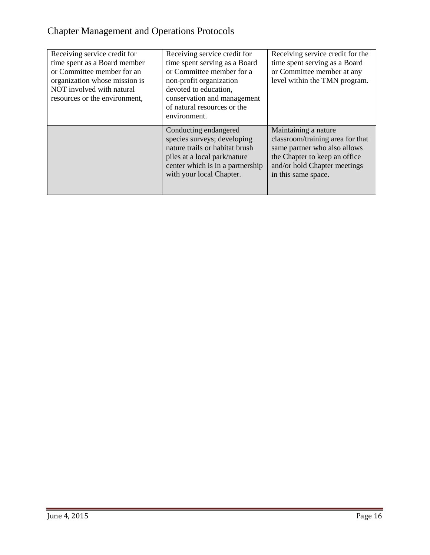| Receiving service credit for<br>time spent as a Board member<br>or Committee member for an<br>organization whose mission is<br>NOT involved with natural<br>resources or the environment, | Receiving service credit for<br>time spent serving as a Board<br>or Committee member for a<br>non-profit organization<br>devoted to education,<br>conservation and management<br>of natural resources or the<br>environment. | Receiving service credit for the<br>time spent serving as a Board<br>or Committee member at any<br>level within the TMN program.                                                 |
|-------------------------------------------------------------------------------------------------------------------------------------------------------------------------------------------|------------------------------------------------------------------------------------------------------------------------------------------------------------------------------------------------------------------------------|----------------------------------------------------------------------------------------------------------------------------------------------------------------------------------|
|                                                                                                                                                                                           | Conducting endangered<br>species surveys; developing<br>nature trails or habitat brush<br>piles at a local park/nature<br>center which is in a partnership<br>with your local Chapter.                                       | Maintaining a nature<br>classroom/training area for that<br>same partner who also allows<br>the Chapter to keep an office<br>and/or hold Chapter meetings<br>in this same space. |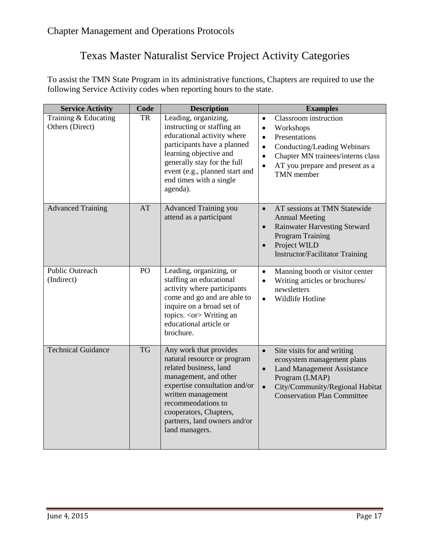## Texas Master Naturalist Service Project Activity Categories

To assist the TMN State Program in its administrative functions, Chapters are required to use the following Service Activity codes when reporting hours to the state.

| <b>Service Activity</b>                 | Code      | <b>Description</b>                                                                                                                                                                                                                                                | <b>Examples</b>                                                                                                                                                                                                                                        |
|-----------------------------------------|-----------|-------------------------------------------------------------------------------------------------------------------------------------------------------------------------------------------------------------------------------------------------------------------|--------------------------------------------------------------------------------------------------------------------------------------------------------------------------------------------------------------------------------------------------------|
| Training & Educating<br>Others (Direct) | TR        | Leading, organizing,<br>instructing or staffing an<br>educational activity where<br>participants have a planned<br>learning objective and<br>generally stay for the full<br>event (e.g., planned start and<br>end times with a single<br>agenda).                 | Classroom instruction<br>$\bullet$<br>Workshops<br>$\bullet$<br>Presentations<br>$\bullet$<br>Conducting/Leading Webinars<br>$\bullet$<br>Chapter MN trainees/interns class<br>$\bullet$<br>AT you prepare and present as a<br>$\bullet$<br>TMN member |
| <b>Advanced Training</b>                | AT        | Advanced Training you<br>attend as a participant                                                                                                                                                                                                                  | AT sessions at TMN Statewide<br>$\bullet$<br><b>Annual Meeting</b><br><b>Rainwater Harvesting Steward</b><br>$\bullet$<br><b>Program Training</b><br>Project WILD<br>$\bullet$<br><b>Instructor/Facilitator Training</b>                               |
| <b>Public Outreach</b><br>(Indirect)    | PO        | Leading, organizing, or<br>staffing an educational<br>activity where participants<br>come and go and are able to<br>inquire on a broad set of<br>topics. <or> Writing an<br/>educational article or<br/>brochure.</or>                                            | Manning booth or visitor center<br>$\bullet$<br>Writing articles or brochures/<br>$\bullet$<br>newsletters<br>Wildlife Hotline<br>$\bullet$                                                                                                            |
| <b>Technical Guidance</b>               | <b>TG</b> | Any work that provides<br>natural resource or program<br>related business, land<br>management, and other<br>expertise consultation and/or<br>written management<br>recommendations to<br>cooperators, Chapters,<br>partners, land owners and/or<br>land managers. | Site visits for and writing<br>$\bullet$<br>ecosystem management plans<br><b>Land Management Assistance</b><br>$\bullet$<br>Program (LMAP)<br>City/Community/Regional Habitat<br>$\bullet$<br><b>Conservation Plan Committee</b>                       |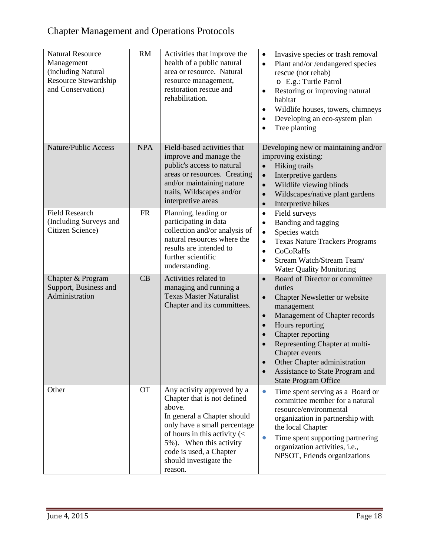| <b>Natural Resource</b><br>Management<br>(including Natural<br>Resource Stewardship<br>and Conservation) | RM         | Activities that improve the<br>health of a public natural<br>area or resource. Natural<br>resource management,<br>restoration rescue and<br>rehabilitation.                                                                                                                             | Invasive species or trash removal<br>$\bullet$<br>Plant and/or/endangered species<br>$\bullet$<br>rescue (not rehab)<br>o E.g.: Turtle Patrol<br>Restoring or improving natural<br>$\bullet$<br>habitat<br>Wildlife houses, towers, chimneys<br>$\bullet$<br>Developing an eco-system plan<br>$\bullet$<br>Tree planting                                                   |
|----------------------------------------------------------------------------------------------------------|------------|-----------------------------------------------------------------------------------------------------------------------------------------------------------------------------------------------------------------------------------------------------------------------------------------|----------------------------------------------------------------------------------------------------------------------------------------------------------------------------------------------------------------------------------------------------------------------------------------------------------------------------------------------------------------------------|
| Nature/Public Access                                                                                     | <b>NPA</b> | Field-based activities that<br>improve and manage the<br>public's access to natural<br>areas or resources. Creating<br>and/or maintaining nature<br>trails, Wildscapes and/or<br>interpretive areas                                                                                     | Developing new or maintaining and/or<br>improving existing:<br>Hiking trails<br>$\bullet$<br>Interpretive gardens<br>$\bullet$<br>Wildlife viewing blinds<br>$\bullet$<br>Wildscapes/native plant gardens<br>$\bullet$<br>Interpretive hikes<br>$\bullet$                                                                                                                  |
| <b>Field Research</b><br>(Including Surveys and<br>Citizen Science)                                      | <b>FR</b>  | Planning, leading or<br>participating in data<br>collection and/or analysis of<br>natural resources where the<br>results are intended to<br>further scientific<br>understanding.                                                                                                        | Field surveys<br>$\bullet$<br>Banding and tagging<br>$\bullet$<br>Species watch<br>$\bullet$<br><b>Texas Nature Trackers Programs</b><br>$\bullet$<br>CoCoRaHs<br>$\bullet$<br>Stream Watch/Stream Team/<br>$\bullet$<br><b>Water Quality Monitoring</b>                                                                                                                   |
| Chapter & Program<br>Support, Business and<br>Administration                                             | CB         | Activities related to<br>managing and running a<br><b>Texas Master Naturalist</b><br>Chapter and its committees.                                                                                                                                                                        | Board of Director or committee<br>$\bullet$<br>duties<br>Chapter Newsletter or website<br>$\bullet$<br>management<br>Management of Chapter records<br>$\bullet$<br>Hours reporting<br>$\bullet$<br>Chapter reporting<br>Representing Chapter at multi-<br>Chapter events<br>Other Chapter administration<br>Assistance to State Program and<br><b>State Program Office</b> |
| Other                                                                                                    | <b>OT</b>  | Any activity approved by a<br>Chapter that is not defined<br>above.<br>In general a Chapter should<br>only have a small percentage<br>of hours in this activity $\left\langle \right\rangle$<br>5%). When this activity<br>code is used, a Chapter<br>should investigate the<br>reason. | Time spent serving as a Board or<br>$\bullet$<br>committee member for a natural<br>resource/environmental<br>organization in partnership with<br>the local Chapter<br>Time spent supporting partnering<br>$\bullet$<br>organization activities, i.e.,<br>NPSOT, Friends organizations                                                                                      |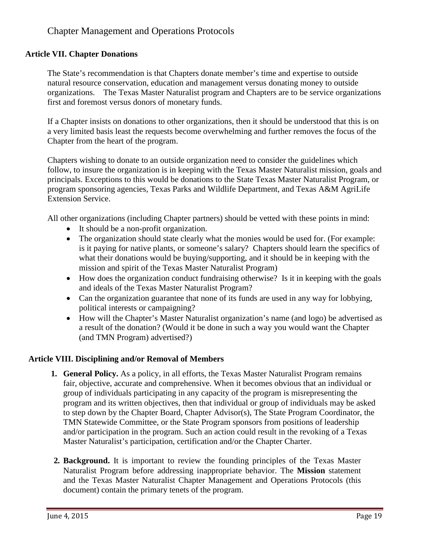#### **Article VII. Chapter Donations**

The State's recommendation is that Chapters donate member's time and expertise to outside natural resource conservation, education and management versus donating money to outside organizations. The Texas Master Naturalist program and Chapters are to be service organizations first and foremost versus donors of monetary funds.

If a Chapter insists on donations to other organizations, then it should be understood that this is on a very limited basis least the requests become overwhelming and further removes the focus of the Chapter from the heart of the program.

Chapters wishing to donate to an outside organization need to consider the guidelines which follow, to insure the organization is in keeping with the Texas Master Naturalist mission, goals and principals. Exceptions to this would be donations to the State Texas Master Naturalist Program, or program sponsoring agencies, Texas Parks and Wildlife Department, and Texas A&M AgriLife Extension Service.

All other organizations (including Chapter partners) should be vetted with these points in mind:

- It should be a non-profit organization.
- The organization should state clearly what the monies would be used for. (For example: is it paying for native plants, or someone's salary? Chapters should learn the specifics of what their donations would be buying/supporting, and it should be in keeping with the mission and spirit of the Texas Master Naturalist Program)
- How does the organization conduct fundraising otherwise? Is it in keeping with the goals and ideals of the Texas Master Naturalist Program?
- Can the organization guarantee that none of its funds are used in any way for lobbying, political interests or campaigning?
- How will the Chapter's Master Naturalist organization's name (and logo) be advertised as a result of the donation? (Would it be done in such a way you would want the Chapter (and TMN Program) advertised?)

#### **Article VIII. Disciplining and/or Removal of Members**

- **1. General Policy.** As a policy, in all efforts, the Texas Master Naturalist Program remains fair, objective, accurate and comprehensive. When it becomes obvious that an individual or group of individuals participating in any capacity of the program is misrepresenting the program and its written objectives, then that individual or group of individuals may be asked to step down by the Chapter Board, Chapter Advisor(s), The State Program Coordinator, the TMN Statewide Committee, or the State Program sponsors from positions of leadership and/or participation in the program. Such an action could result in the revoking of a Texas Master Naturalist's participation, certification and/or the Chapter Charter.
- **2. Background.** It is important to review the founding principles of the Texas Master Naturalist Program before addressing inappropriate behavior. The **Mission** statement and the Texas Master Naturalist Chapter Management and Operations Protocols (this document) contain the primary tenets of the program.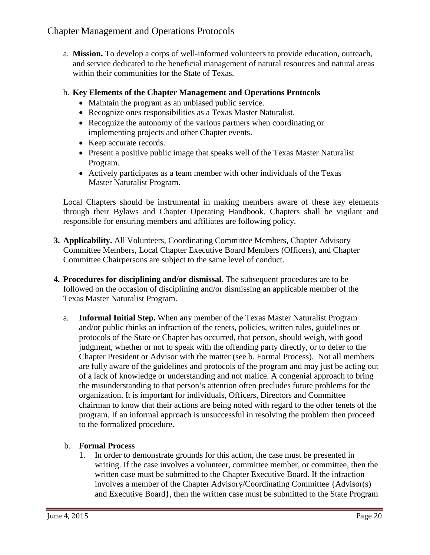a. **Mission.** To develop a corps of well-informed volunteers to provide education, outreach, and service dedicated to the beneficial management of natural resources and natural areas within their communities for the State of Texas.

#### b. **Key Elements of the Chapter Management and Operations Protocols**

- Maintain the program as an unbiased public service.
- Recognize ones responsibilities as a Texas Master Naturalist.
- Recognize the autonomy of the various partners when coordinating or implementing projects and other Chapter events.
- Keep accurate records.
- Present a positive public image that speaks well of the Texas Master Naturalist Program.
- Actively participates as a team member with other individuals of the Texas Master Naturalist Program.

Local Chapters should be instrumental in making members aware of these key elements through their Bylaws and Chapter Operating Handbook. Chapters shall be vigilant and responsible for ensuring members and affiliates are following policy.

- **3. Applicability.** All Volunteers, Coordinating Committee Members, Chapter Advisory Committee Members, Local Chapter Executive Board Members (Officers), and Chapter Committee Chairpersons are subject to the same level of conduct.
- **4. Procedures for disciplining and/or dismissal.** The subsequent procedures are to be followed on the occasion of disciplining and/or dismissing an applicable member of the Texas Master Naturalist Program.
	- a. **Informal Initial Step.** When any member of the Texas Master Naturalist Program and/or public thinks an infraction of the tenets, policies, written rules, guidelines or protocols of the State or Chapter has occurred, that person, should weigh, with good judgment, whether or not to speak with the offending party directly, or to defer to the Chapter President or Advisor with the matter (see b. Formal Process). Not all members are fully aware of the guidelines and protocols of the program and may just be acting out of a lack of knowledge or understanding and not malice. A congenial approach to bring the misunderstanding to that person's attention often precludes future problems for the organization. It is important for individuals, Officers, Directors and Committee chairman to know that their actions are being noted with regard to the other tenets of the program. If an informal approach is unsuccessful in resolving the problem then proceed to the formalized procedure.

#### b. **Formal Process**

1. In order to demonstrate grounds for this action, the case must be presented in writing. If the case involves a volunteer, committee member, or committee, then the written case must be submitted to the Chapter Executive Board. If the infraction involves a member of the Chapter Advisory/Coordinating Committee {Advisor(s) and Executive Board}, then the written case must be submitted to the State Program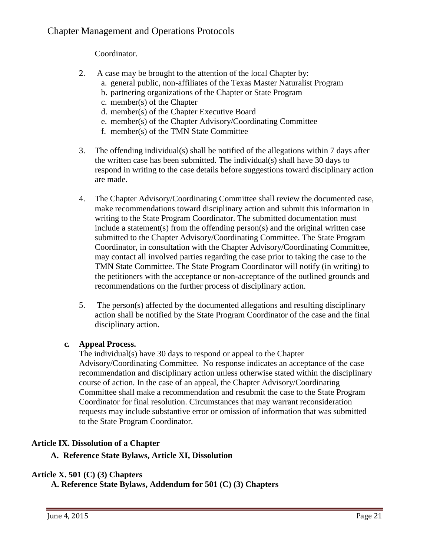Coordinator.

- 2. A case may be brought to the attention of the local Chapter by:
	- a. general public, non-affiliates of the Texas Master Naturalist Program
	- b. partnering organizations of the Chapter or State Program
	- c. member(s) of the Chapter
	- d. member(s) of the Chapter Executive Board
	- e. member(s) of the Chapter Advisory/Coordinating Committee
	- f. member(s) of the TMN State Committee
- 3. The offending individual(s) shall be notified of the allegations within 7 days after the written case has been submitted. The individual(s) shall have 30 days to respond in writing to the case details before suggestions toward disciplinary action are made.
- 4. The Chapter Advisory/Coordinating Committee shall review the documented case, make recommendations toward disciplinary action and submit this information in writing to the State Program Coordinator. The submitted documentation must include a statement(s) from the offending person(s) and the original written case submitted to the Chapter Advisory/Coordinating Committee. The State Program Coordinator, in consultation with the Chapter Advisory/Coordinating Committee, may contact all involved parties regarding the case prior to taking the case to the TMN State Committee. The State Program Coordinator will notify (in writing) to the petitioners with the acceptance or non-acceptance of the outlined grounds and recommendations on the further process of disciplinary action.
- 5. The person(s) affected by the documented allegations and resulting disciplinary action shall be notified by the State Program Coordinator of the case and the final disciplinary action.

#### **c. Appeal Process.**

The individual(s) have 30 days to respond or appeal to the Chapter Advisory/Coordinating Committee. No response indicates an acceptance of the case recommendation and disciplinary action unless otherwise stated within the disciplinary course of action. In the case of an appeal, the Chapter Advisory/Coordinating Committee shall make a recommendation and resubmit the case to the State Program Coordinator for final resolution. Circumstances that may warrant reconsideration requests may include substantive error or omission of information that was submitted to the State Program Coordinator.

#### **Article IX. Dissolution of a Chapter**

#### **A. Reference State Bylaws, Article XI, Dissolution**

#### **Article X. 501 (C) (3) Chapters**

**A. Reference State Bylaws, Addendum for 501 (C) (3) Chapters**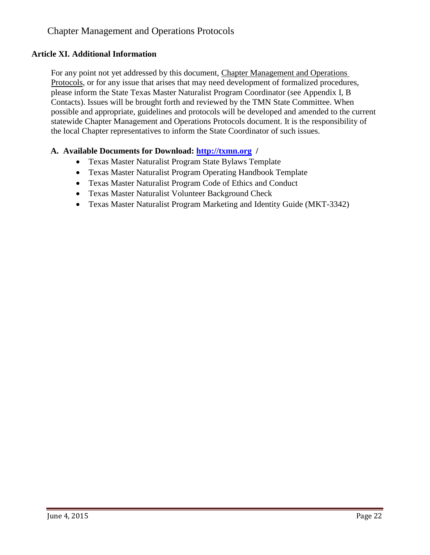#### **Article XI. Additional Information**

For any point not yet addressed by this document, Chapter Management and Operations Protocols, or for any issue that arises that may need development of formalized procedures, please inform the State Texas Master Naturalist Program Coordinator (see Appendix I, B Contacts). Issues will be brought forth and reviewed by the TMN State Committee. When possible and appropriate, guidelines and protocols will be developed and amended to the current statewide Chapter Management and Operations Protocols document. It is the responsibility of the local Chapter representatives to inform the State Coordinator of such issues.

#### **A. Available Documents for Download: [http://txmn.org](http://txmn.org/) /**

- Texas Master Naturalist Program State Bylaws Template
- Texas Master Naturalist Program Operating Handbook Template
- Texas Master Naturalist Program Code of Ethics and Conduct
- Texas Master Naturalist Volunteer Background Check
- Texas Master Naturalist Program Marketing and Identity Guide (MKT-3342)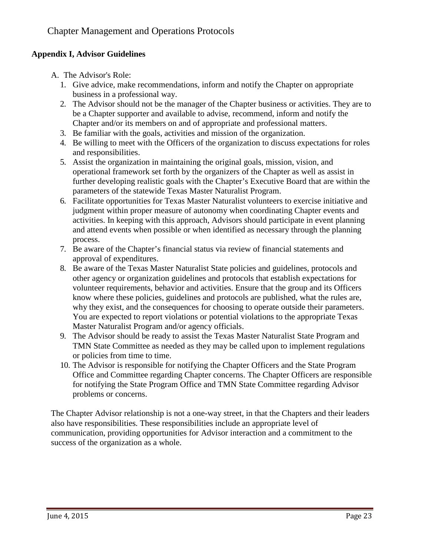### **Appendix I, Advisor Guidelines**

- A. The Advisor's Role:
	- 1. Give advice, make recommendations, inform and notify the Chapter on appropriate business in a professional way.
	- 2. The Advisor should not be the manager of the Chapter business or activities. They are to be a Chapter supporter and available to advise, recommend, inform and notify the Chapter and/or its members on and of appropriate and professional matters.
	- 3. Be familiar with the goals, activities and mission of the organization.
	- 4. Be willing to meet with the Officers of the organization to discuss expectations for roles and responsibilities.
	- 5. Assist the organization in maintaining the original goals, mission, vision, and operational framework set forth by the organizers of the Chapter as well as assist in further developing realistic goals with the Chapter's Executive Board that are within the parameters of the statewide Texas Master Naturalist Program.
	- 6. Facilitate opportunities for Texas Master Naturalist volunteers to exercise initiative and judgment within proper measure of autonomy when coordinating Chapter events and activities. In keeping with this approach, Advisors should participate in event planning and attend events when possible or when identified as necessary through the planning process.
	- 7. Be aware of the Chapter's financial status via review of financial statements and approval of expenditures.
	- 8. Be aware of the Texas Master Naturalist State policies and guidelines, protocols and other agency or organization guidelines and protocols that establish expectations for volunteer requirements, behavior and activities. Ensure that the group and its Officers know where these policies, guidelines and protocols are published, what the rules are, why they exist, and the consequences for choosing to operate outside their parameters. You are expected to report violations or potential violations to the appropriate Texas Master Naturalist Program and/or agency officials.
	- 9. The Advisor should be ready to assist the Texas Master Naturalist State Program and TMN State Committee as needed as they may be called upon to implement regulations or policies from time to time.
	- 10. The Advisor is responsible for notifying the Chapter Officers and the State Program Office and Committee regarding Chapter concerns. The Chapter Officers are responsible for notifying the State Program Office and TMN State Committee regarding Advisor problems or concerns.

The Chapter Advisor relationship is not a one-way street, in that the Chapters and their leaders also have responsibilities. These responsibilities include an appropriate level of communication, providing opportunities for Advisor interaction and a commitment to the success of the organization as a whole.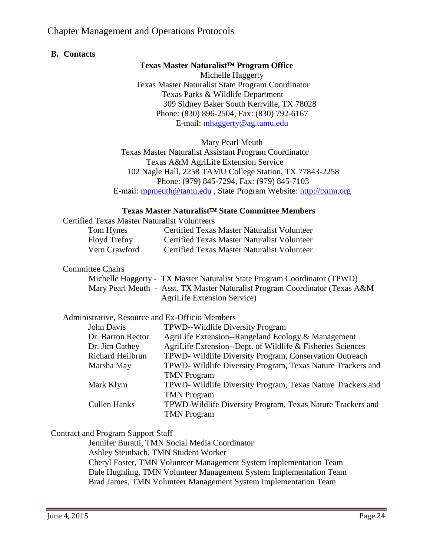#### **B. Contacts**

#### Texas Master Naturalist<sup>™</sup> Program Office

Michelle Haggerty Texas Master Naturalist State Program Coordinator Texas Parks & Wildlife Department 309 Sidney Baker South Kerrville, TX 78028 Phone: (830) 896-2504, Fax: (830) 792-6167 E-mail: [mhaggerty@ag.tamu.edu](mailto:mhaggerty@ag.tamu.edu)

Mary Pearl Meuth

Texas Master Naturalist Assistant Program Coordinator Texas A&M AgriLife Extension Service 102 Nagle Hall, 2258 TAMU College Station, TX 77843-2258 Phone: (979) 845-7294, Fax: (979) 845-7103 E-mail: [mpmeuth@tamu.edu](mailto:sarnold@ag.tamu.edu) , State Program Website: [http://txmn.org](http://txmn.org/)

#### Texas Master Naturalist<sup>™</sup> State Committee Members

| <b>Certified Texas Master Naturalist Volunteers</b> |                                             |
|-----------------------------------------------------|---------------------------------------------|
| Tom Hynes                                           | Certified Texas Master Naturalist Volunteer |
| Floyd Trefny                                        | Certified Texas Master Naturalist Volunteer |
| Vern Crawford                                       | Certified Texas Master Naturalist Volunteer |

#### Committee Chairs

| Michelle Haggerty - TX Master Naturalist State Program Coordinator (TPWD)     |
|-------------------------------------------------------------------------------|
| Mary Pearl Meuth - Asst. TX Master Naturalist Program Coordinator (Texas A&M) |
| <b>AgriLife Extension Service</b> )                                           |

#### Administrative, Resource and Ex-Officio Members

| John Davis          | TPWD--Wildlife Diversity Program                            |
|---------------------|-------------------------------------------------------------|
| Dr. Barron Rector   | AgriLife Extension--Rangeland Ecology & Management          |
| Dr. Jim Cathey      | AgriLife Extension--Dept. of Wildlife & Fisheries Sciences  |
| Richard Heilbrun    | TPWD- Wildlife Diversity Program, Conservation Outreach     |
| Marsha May          | TPWD- Wildlife Diversity Program, Texas Nature Trackers and |
|                     | <b>TMN</b> Program                                          |
| Mark Klym           | TPWD- Wildlife Diversity Program, Texas Nature Trackers and |
|                     | <b>TMN</b> Program                                          |
| <b>Cullen Hanks</b> | TPWD-Wildlife Diversity Program, Texas Nature Trackers and  |
|                     | <b>TMN Program</b>                                          |
|                     |                                                             |

#### Contract and Program Support Staff

Jennifer Buratti, TMN Social Media Coordinator Ashley Steinbach, TMN Student Worker Cheryl Foster, TMN Volunteer Management System Implementation Team Dale Hughling, TMN Volunteer Management System Implementation Team Brad James, TMN Volunteer Management System Implementation Team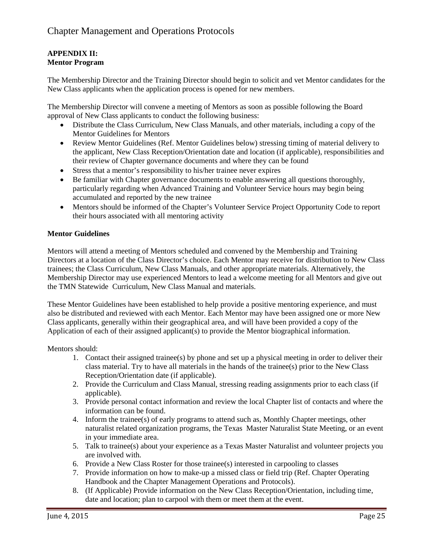#### **APPENDIX II: Mentor Program**

The Membership Director and the Training Director should begin to solicit and vet Mentor candidates for the New Class applicants when the application process is opened for new members.

The Membership Director will convene a meeting of Mentors as soon as possible following the Board approval of New Class applicants to conduct the following business:

- Distribute the Class Curriculum, New Class Manuals, and other materials, including a copy of the Mentor Guidelines for Mentors
- Review Mentor Guidelines (Ref. Mentor Guidelines below) stressing timing of material delivery to the applicant, New Class Reception/Orientation date and location (if applicable), responsibilities and their review of Chapter governance documents and where they can be found
- Stress that a mentor's responsibility to his/her trainee never expires
- Be familiar with Chapter governance documents to enable answering all questions thoroughly, particularly regarding when Advanced Training and Volunteer Service hours may begin being accumulated and reported by the new trainee
- Mentors should be informed of the Chapter's Volunteer Service Project Opportunity Code to report their hours associated with all mentoring activity

#### **Mentor Guidelines**

Mentors will attend a meeting of Mentors scheduled and convened by the Membership and Training Directors at a location of the Class Director's choice. Each Mentor may receive for distribution to New Class trainees; the Class Curriculum, New Class Manuals, and other appropriate materials. Alternatively, the Membership Director may use experienced Mentors to lead a welcome meeting for all Mentors and give out the TMN Statewide Curriculum, New Class Manual and materials.

These Mentor Guidelines have been established to help provide a positive mentoring experience, and must also be distributed and reviewed with each Mentor. Each Mentor may have been assigned one or more New Class applicants, generally within their geographical area, and will have been provided a copy of the Application of each of their assigned applicant(s) to provide the Mentor biographical information.

Mentors should:

- 1. Contact their assigned trainee(s) by phone and set up a physical meeting in order to deliver their class material. Try to have all materials in the hands of the trainee(s) prior to the New Class Reception/Orientation date (if applicable).
- 2. Provide the Curriculum and Class Manual, stressing reading assignments prior to each class (if applicable).
- 3. Provide personal contact information and review the local Chapter list of contacts and where the information can be found.
- 4. Inform the trainee(s) of early programs to attend such as, Monthly Chapter meetings, other naturalist related organization programs, the Texas Master Naturalist State Meeting, or an event in your immediate area.
- 5. Talk to trainee(s) about your experience as a Texas Master Naturalist and volunteer projects you are involved with.
- 6. Provide a New Class Roster for those trainee(s) interested in carpooling to classes
- 7. Provide information on how to make-up a missed class or field trip (Ref. Chapter Operating Handbook and the Chapter Management Operations and Protocols).
- 8. (If Applicable) Provide information on the New Class Reception/Orientation, including time, date and location; plan to carpool with them or meet them at the event.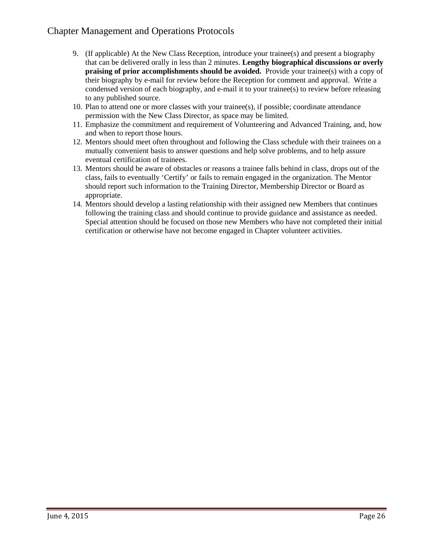- 9. (If applicable) At the New Class Reception, introduce your trainee(s) and present a biography that can be delivered orally in less than 2 minutes. **Lengthy biographical discussions or overly praising of prior accomplishments should be avoided.** Provide your trainee(s) with a copy of their biography by e-mail for review before the Reception for comment and approval. Write a condensed version of each biography, and e-mail it to your trainee(s) to review before releasing to any published source.
- 10. Plan to attend one or more classes with your trainee(s), if possible; coordinate attendance permission with the New Class Director, as space may be limited.
- 11. Emphasize the commitment and requirement of Volunteering and Advanced Training, and, how and when to report those hours.
- 12. Mentors should meet often throughout and following the Class schedule with their trainees on a mutually convenient basis to answer questions and help solve problems, and to help assure eventual certification of trainees.
- 13. Mentors should be aware of obstacles or reasons a trainee falls behind in class, drops out of the class, fails to eventually 'Certify' or fails to remain engaged in the organization. The Mentor should report such information to the Training Director, Membership Director or Board as appropriate.
- 14. Mentors should develop a lasting relationship with their assigned new Members that continues following the training class and should continue to provide guidance and assistance as needed. Special attention should be focused on those new Members who have not completed their initial certification or otherwise have not become engaged in Chapter volunteer activities.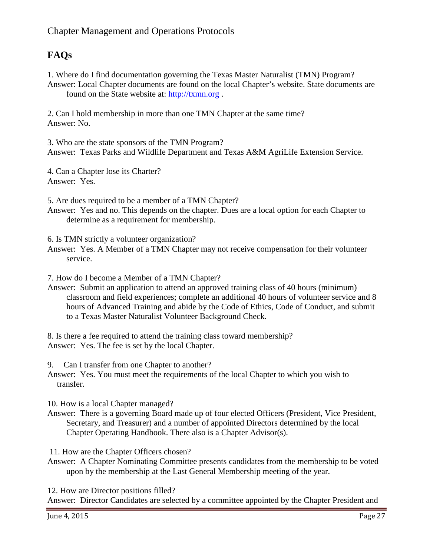## **FAQs**

1. Where do I find documentation governing the Texas Master Naturalist (TMN) Program? Answer: Local Chapter documents are found on the local Chapter's website. State documents are found on the State website at: [http://txmn.org](http://txmn.org/) .

2. Can I hold membership in more than one TMN Chapter at the same time? Answer: No.

3. Who are the state sponsors of the TMN Program? Answer: Texas Parks and Wildlife Department and Texas A&M AgriLife Extension Service.

4. Can a Chapter lose its Charter? Answer: Yes.

5. Are dues required to be a member of a TMN Chapter?

Answer: Yes and no. This depends on the chapter. Dues are a local option for each Chapter to determine as a requirement for membership.

6. Is TMN strictly a volunteer organization?

Answer: Yes. A Member of a TMN Chapter may not receive compensation for their volunteer service.

7. How do I become a Member of a TMN Chapter?

Answer: Submit an application to attend an approved training class of 40 hours (minimum) classroom and field experiences; complete an additional 40 hours of volunteer service and 8 hours of Advanced Training and abide by the Code of Ethics, Code of Conduct, and submit to a Texas Master Naturalist Volunteer Background Check.

8. Is there a fee required to attend the training class toward membership? Answer: Yes. The fee is set by the local Chapter.

9. Can I transfer from one Chapter to another?

Answer: Yes. You must meet the requirements of the local Chapter to which you wish to transfer.

10. How is a local Chapter managed?

Answer: There is a governing Board made up of four elected Officers (President, Vice President, Secretary, and Treasurer) and a number of appointed Directors determined by the local Chapter Operating Handbook. There also is a Chapter Advisor(s).

11. How are the Chapter Officers chosen?

Answer: A Chapter Nominating Committee presents candidates from the membership to be voted upon by the membership at the Last General Membership meeting of the year.

12. How are Director positions filled?

Answer: Director Candidates are selected by a committee appointed by the Chapter President and